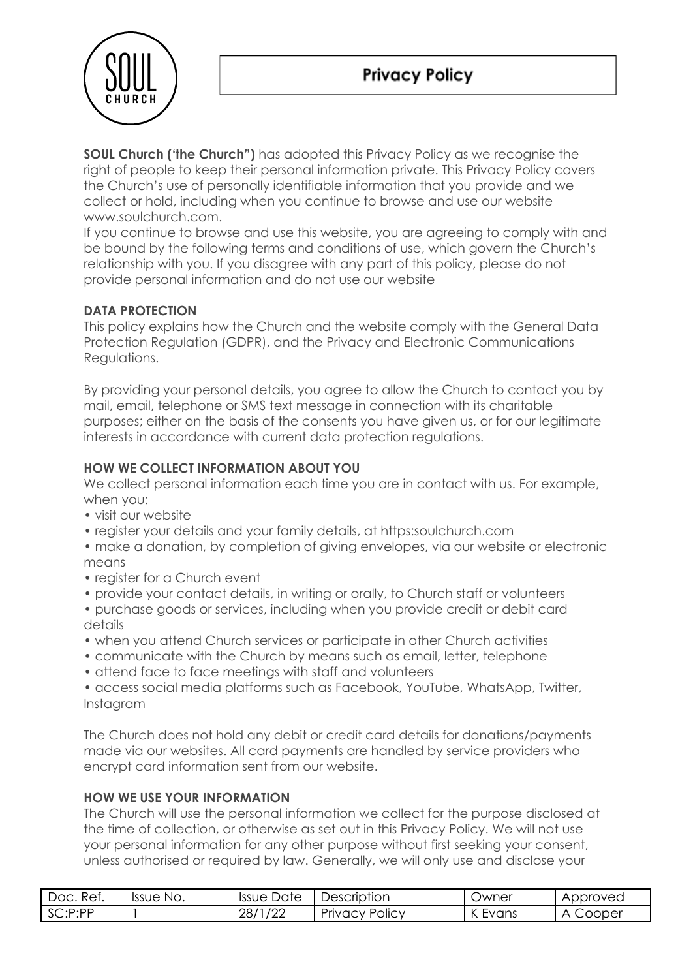

**SOUL Church ('the Church")** has adopted this Privacy Policy as we recognise the right of people to keep their personal information private. This Privacy Policy covers the Church's use of personally identifiable information that you provide and we collect or hold, including when you continue to browse and use our website www.soulchurch.com.

If you continue to browse and use this website, you are agreeing to comply with and be bound by the following terms and conditions of use, which govern the Church's relationship with you. If you disagree with any part of this policy, please do not provide personal information and do not use our website

# **DATA PROTECTION**

This policy explains how the Church and the website comply with the General Data Protection Regulation (GDPR), and the Privacy and Electronic Communications Regulations.

By providing your personal details, you agree to allow the Church to contact you by mail, email, telephone or SMS text message in connection with its charitable purposes; either on the basis of the consents you have given us, or for our legitimate interests in accordance with current data protection regulations.

# **HOW WE COLLECT INFORMATION ABOUT YOU**

We collect personal information each time you are in contact with us. For example, when you:

- visit our website
- register your details and your family details, at https:soulchurch.com
- make a donation, by completion of giving envelopes, via our website or electronic means
- register for a Church event
- provide your contact details, in writing or orally, to Church staff or volunteers
- purchase goods or services, including when you provide credit or debit card details
- when you attend Church services or participate in other Church activities
- communicate with the Church by means such as email, letter, telephone
- attend face to face meetings with staff and volunteers
- access social media platforms such as Facebook, YouTube, WhatsApp, Twitter, Instagram

The Church does not hold any debit or credit card details for donations/payments made via our websites. All card payments are handled by service providers who encrypt card information sent from our website.

## **HOW WE USE YOUR INFORMATION**

The Church will use the personal information we collect for the purpose disclosed at the time of collection, or otherwise as set out in this Privacy Policy. We will not use your personal information for any other purpose without first seeking your consent, unless authorised or required by law. Generally, we will only use and disclose your

| Doc. Ref. | Issue No. | Date<br>Issue l | Description           | <b>Jwner</b>          | Approved    |
|-----------|-----------|-----------------|-----------------------|-----------------------|-------------|
| SC:P:PP   |           | /22<br>28/1     | <b>Privacy Policy</b> | $\sqrt{ }$<br>K Evans | Cooper<br>А |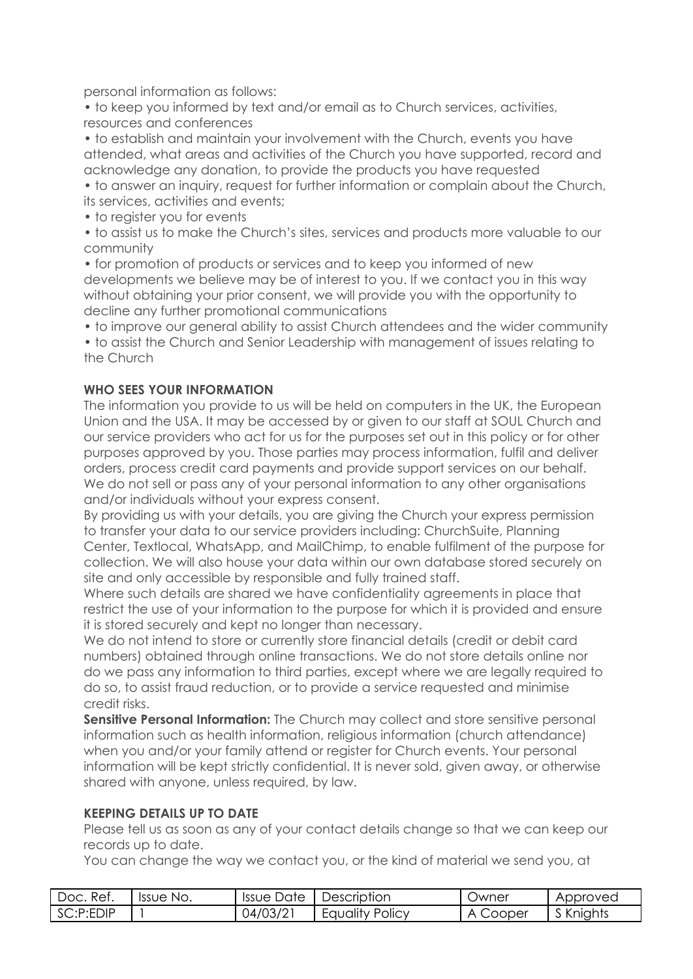personal information as follows:

• to keep you informed by text and/or email as to Church services, activities, resources and conferences

• to establish and maintain your involvement with the Church, events you have attended, what areas and activities of the Church you have supported, record and acknowledge any donation, to provide the products you have requested

• to answer an inquiry, request for further information or complain about the Church, its services, activities and events;

• to register you for events

• to assist us to make the Church's sites, services and products more valuable to our community

• for promotion of products or services and to keep you informed of new developments we believe may be of interest to you. If we contact you in this way without obtaining your prior consent, we will provide you with the opportunity to decline any further promotional communications

• to improve our general ability to assist Church attendees and the wider community

• to assist the Church and Senior Leadership with management of issues relating to the Church

## **WHO SEES YOUR INFORMATION**

The information you provide to us will be held on computers in the UK, the European Union and the USA. It may be accessed by or given to our staff at SOUL Church and our service providers who act for us for the purposes set out in this policy or for other purposes approved by you. Those parties may process information, fulfil and deliver orders, process credit card payments and provide support services on our behalf. We do not sell or pass any of your personal information to any other organisations and/or individuals without your express consent.

By providing us with your details, you are giving the Church your express permission to transfer your data to our service providers including: ChurchSuite, Planning Center, Textlocal, WhatsApp, and MailChimp, to enable fulfilment of the purpose for collection. We will also house your data within our own database stored securely on site and only accessible by responsible and fully trained staff.

Where such details are shared we have confidentiality agreements in place that restrict the use of your information to the purpose for which it is provided and ensure it is stored securely and kept no longer than necessary.

We do not intend to store or currently store financial details (credit or debit card numbers) obtained through online transactions. We do not store details online nor do we pass any information to third parties, except where we are legally required to do so, to assist fraud reduction, or to provide a service requested and minimise credit risks.

**Sensitive Personal Information:** The Church may collect and store sensitive personal information such as health information, religious information (church attendance) when you and/or your family attend or register for Church events. Your personal information will be kept strictly confidential. It is never sold, given away, or otherwise shared with anyone, unless required, by law.

## **KEEPING DETAILS UP TO DATE**

Please tell us as soon as any of your contact details change so that we can keep our records up to date.

You can change the way we contact you, or the kind of material we send you, at

| Ref.<br>Doc. | Issue No. | Issue Date | Description            | Owner          | Approved  |
|--------------|-----------|------------|------------------------|----------------|-----------|
| SC:P:EDIP    |           | 04/03/21   | <b>Equality Policy</b> | Cooper<br>_∆ ் | S Knights |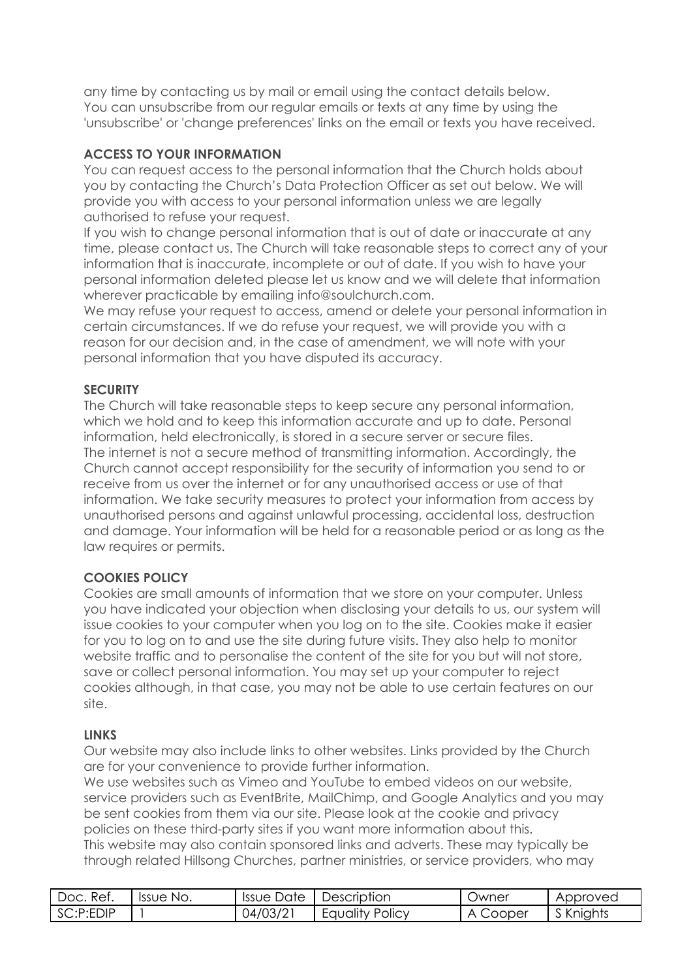any time by contacting us by mail or email using the contact details below. You can unsubscribe from our regular emails or texts at any time by using the 'unsubscribe' or 'change preferences' links on the email or texts you have received.

# **ACCESS TO YOUR INFORMATION**

You can request access to the personal information that the Church holds about you by contacting the Church's Data Protection Officer as set out below. We will provide you with access to your personal information unless we are legally authorised to refuse your request.

If you wish to change personal information that is out of date or inaccurate at any time, please contact us. The Church will take reasonable steps to correct any of your information that is inaccurate, incomplete or out of date. If you wish to have your personal information deleted please let us know and we will delete that information wherever practicable by emailing info@soulchurch.com.

We may refuse your request to access, amend or delete your personal information in certain circumstances. If we do refuse your request, we will provide you with a reason for our decision and, in the case of amendment, we will note with your personal information that you have disputed its accuracy.

## **SECURITY**

The Church will take reasonable steps to keep secure any personal information, which we hold and to keep this information accurate and up to date. Personal information, held electronically, is stored in a secure server or secure files. The internet is not a secure method of transmitting information. Accordingly, the Church cannot accept responsibility for the security of information you send to or receive from us over the internet or for any unauthorised access or use of that information. We take security measures to protect your information from access by unauthorised persons and against unlawful processing, accidental loss, destruction and damage. Your information will be held for a reasonable period or as long as the law requires or permits.

## **COOKIES POLICY**

Cookies are small amounts of information that we store on your computer. Unless you have indicated your objection when disclosing your details to us, our system will issue cookies to your computer when you log on to the site. Cookies make it easier for you to log on to and use the site during future visits. They also help to monitor website traffic and to personalise the content of the site for you but will not store, save or collect personal information. You may set up your computer to reject cookies although, in that case, you may not be able to use certain features on our site.

## **LINKS**

Our website may also include links to other websites. Links provided by the Church are for your convenience to provide further information.

We use websites such as Vimeo and YouTube to embed videos on our website, service providers such as EventBrite, MailChimp, and Google Analytics and you may be sent cookies from them via our site. Please look at the cookie and privacy policies on these third-party sites if you want more information about this. This website may also contain sponsored links and adverts. These may typically be through related Hillsong Churches, partner ministries, or service providers, who may

| Doc. Ref. | <b>Issue</b><br>No. | Issue Date | Description            | <b>Jwner</b> | Approved  |
|-----------|---------------------|------------|------------------------|--------------|-----------|
| SC:P:EDIP |                     | 04/03/21   | <b>Equality Policy</b> | Cooper<br>Α  | S Knights |